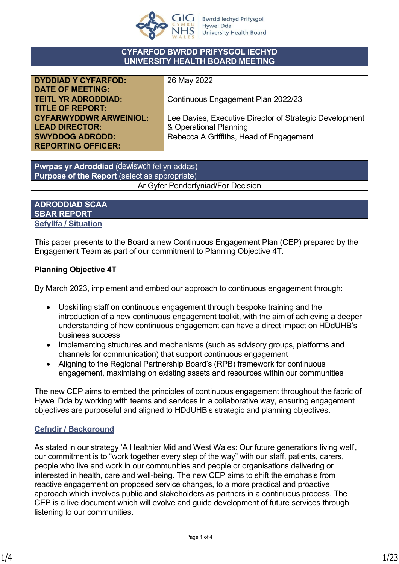

#### **CYFARFOD BWRDD PRIFYSGOL IECHYD UNIVERSITY HEALTH BOARD MEETING**

| <b>DYDDIAD Y CYFARFOD:</b>    | 26 May 2022                                             |
|-------------------------------|---------------------------------------------------------|
| <b>DATE OF MEETING:</b>       |                                                         |
| <b>TEITL YR ADRODDIAD:</b>    | Continuous Engagement Plan 2022/23                      |
| <b>TITLE OF REPORT:</b>       |                                                         |
| <b>CYFARWYDDWR ARWEINIOL:</b> | Lee Davies, Executive Director of Strategic Development |
| <b>LEAD DIRECTOR:</b>         | & Operational Planning                                  |
| <b>SWYDDOG ADRODD:</b>        | Rebecca A Griffiths, Head of Engagement                 |
| <b>REPORTING OFFICER:</b>     |                                                         |

**Pwrpas yr Adroddiad** (dewiswch fel yn addas) **Purpose of the Report** (select as appropriate) Ar Gyfer Penderfyniad/For Decision

#### **ADRODDIAD SCAA SBAR REPORT Sefyllfa / Situation**

This paper presents to the Board a new Continuous Engagement Plan (CEP) prepared by the Engagement Team as part of our commitment to Planning Objective 4T.

## **Planning Objective 4T**

By March 2023, implement and embed our approach to continuous engagement through:

- Upskilling staff on continuous engagement through bespoke training and the introduction of a new continuous engagement toolkit, with the aim of achieving a deeper understanding of how continuous engagement can have a direct impact on HDdUHB's business success
- Implementing structures and mechanisms (such as advisory groups, platforms and channels for communication) that support continuous engagement
- Aligning to the Regional Partnership Board's (RPB) framework for continuous engagement, maximising on existing assets and resources within our communities

The new CEP aims to embed the principles of continuous engagement throughout the fabric of Hywel Dda by working with teams and services in a collaborative way, ensuring engagement objectives are purposeful and aligned to HDdUHB's strategic and planning objectives.

## **Cefndir / Background**

As stated in our strategy 'A Healthier Mid and West Wales: Our future generations living well', our commitment is to "work together every step of the way" with our staff, patients, carers, people who live and work in our communities and people or organisations delivering or interested in health, care and well-being. The new CEP aims to shift the emphasis from reactive engagement on proposed service changes, to a more practical and proactive approach which involves public and stakeholders as partners in a continuous process. The CEP is a live document which will evolve and guide development of future services through listening to our communities.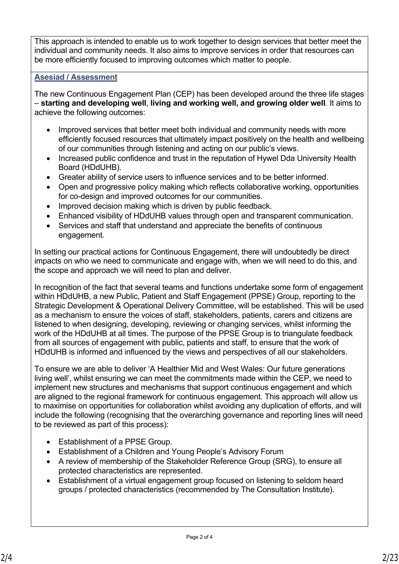This approach is intended to enable us to work together to design services that better meet the individual and community needs. It also aims to improve services in order that resources can be more efficiently focused to improving outcomes which matter to people.

### **Asesiad / Assessment**

The new Continuous Engagement Plan (CEP) has been developed around the three life stages – **starting and developing well**, **living and working well, and growing older well**. It aims to achieve the following outcomes:

- Improved services that better meet both individual and community needs with more efficiently focused resources that ultimately impact positively on the health and wellbeing of our communities through listening and acting on our public's views.
- Increased public confidence and trust in the reputation of Hywel Dda University Health Board (HDdUHB).
- Greater ability of service users to influence services and to be better informed.
- Open and progressive policy making which reflects collaborative working, opportunities for co-design and improved outcomes for our communities.
- Improved decision making which is driven by public feedback.
- Enhanced visibility of HDdUHB values through open and transparent communication.
- Services and staff that understand and appreciate the benefits of continuous engagement.

In setting our practical actions for Continuous Engagement, there will undoubtedly be direct impacts on who we need to communicate and engage with, when we will need to do this, and the scope and approach we will need to plan and deliver.

In recognition of the fact that several teams and functions undertake some form of engagement within HDdUHB, a new Public, Patient and Staff Engagement (PPSE) Group, reporting to the Strategic Development & Operational Delivery Committee, will be established. This will be used as a mechanism to ensure the voices of staff, stakeholders, patients, carers and citizens are listened to when designing, developing, reviewing or changing services, whilst informing the work of the HDdUHB at all times. The purpose of the PPSE Group is to triangulate feedback from all sources of engagement with public, patients and staff, to ensure that the work of HDdUHB is informed and influenced by the views and perspectives of all our stakeholders.

To ensure we are able to deliver 'A Healthier Mid and West Wales: Our future generations living well', whilst ensuring we can meet the commitments made within the CEP, we need to implement new structures and mechanisms that support continuous engagement and which are aligned to the regional framework for continuous engagement. This approach will allow us to maximise on opportunities for collaboration whilst avoiding any duplication of efforts, and will include the following (recognising that the overarching governance and reporting lines will need to be reviewed as part of this process):

- Establishment of a PPSE Group.
- Establishment of a Children and Young People's Advisory Forum
- A review of membership of the Stakeholder Reference Group (SRG), to ensure all protected characteristics are represented.
- Establishment of a virtual engagement group focused on listening to seldom heard groups / protected characteristics (recommended by The Consultation Institute).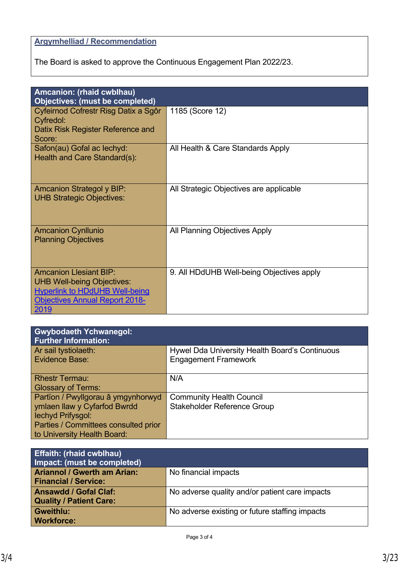## **Argymhelliad / Recommendation**

The Board is asked to approve the Continuous Engagement Plan 2022/23.

| <b>Amcanion: (rhaid cwblhau)</b><br><b>Objectives: (must be completed)</b>                                                                                   |                                           |
|--------------------------------------------------------------------------------------------------------------------------------------------------------------|-------------------------------------------|
| Cyfeirnod Cofrestr Risg Datix a Sgôr<br>Cyfredol:<br>Datix Risk Register Reference and<br>Score:                                                             | 1185 (Score 12)                           |
| Safon(au) Gofal ac lechyd:<br>Health and Care Standard(s):                                                                                                   | All Health & Care Standards Apply         |
| <b>Amcanion Strategol y BIP:</b><br><b>UHB Strategic Objectives:</b>                                                                                         | All Strategic Objectives are applicable   |
| <b>Amcanion Cynllunio</b><br><b>Planning Objectives</b>                                                                                                      | All Planning Objectives Apply             |
| <b>Amcanion Llesiant BIP:</b><br><b>UHB Well-being Objectives:</b><br><b>Hyperlink to HDdUHB Well-being</b><br><b>Objectives Annual Report 2018-</b><br>2019 | 9. All HDdUHB Well-being Objectives apply |

| <b>Gwybodaeth Ychwanegol:</b><br><b>Further Information:</b> |                                                |
|--------------------------------------------------------------|------------------------------------------------|
| Ar sail tystiolaeth:                                         | Hywel Dda University Health Board's Continuous |
| <b>Evidence Base:</b>                                        | <b>Engagement Framework</b>                    |
| <b>Rhestr Termau:</b>                                        | N/A                                            |
| <b>Glossary of Terms:</b>                                    |                                                |
| Partïon / Pwyllgorau â ymgynhorwyd                           | <b>Community Health Council</b>                |
| ymlaen llaw y Cyfarfod Bwrdd                                 | Stakeholder Reference Group                    |
| lechyd Prifysgol:                                            |                                                |
| Parties / Committees consulted prior                         |                                                |
| to University Health Board:                                  |                                                |

| <b>Effaith: (rhaid cwblhau)</b>    |                                                |
|------------------------------------|------------------------------------------------|
| Impact: (must be completed)        |                                                |
| <b>Ariannol / Gwerth am Arian:</b> | No financial impacts                           |
| <b>Financial / Service:</b>        |                                                |
| <b>Ansawdd / Gofal Claf:</b>       | No adverse quality and/or patient care impacts |
| <b>Quality / Patient Care:</b>     |                                                |
| <b>Gweithlu:</b>                   | No adverse existing or future staffing impacts |
| <b>Workforce:</b>                  |                                                |
|                                    |                                                |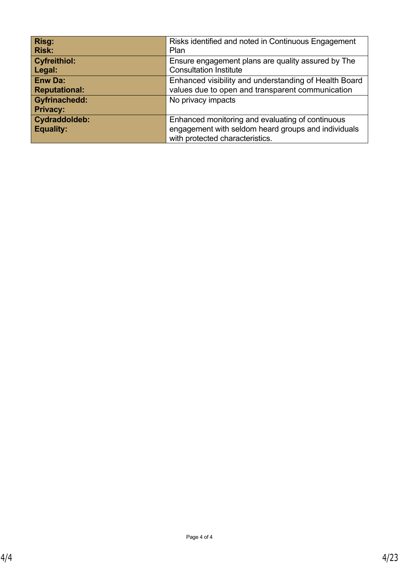| Risg:                                   | Risks identified and noted in Continuous Engagement                                                                                        |
|-----------------------------------------|--------------------------------------------------------------------------------------------------------------------------------------------|
| <b>Risk:</b>                            | Plan                                                                                                                                       |
| <b>Cyfreithiol:</b>                     | Ensure engagement plans are quality assured by The                                                                                         |
| Legal:                                  | <b>Consultation Institute</b>                                                                                                              |
| <b>Enw Da:</b>                          | Enhanced visibility and understanding of Health Board                                                                                      |
| <b>Reputational:</b>                    | values due to open and transparent communication                                                                                           |
| <b>Gyfrinachedd:</b><br><b>Privacy:</b> | No privacy impacts                                                                                                                         |
| Cydraddoldeb:<br><b>Equality:</b>       | Enhanced monitoring and evaluating of continuous<br>engagement with seldom heard groups and individuals<br>with protected characteristics. |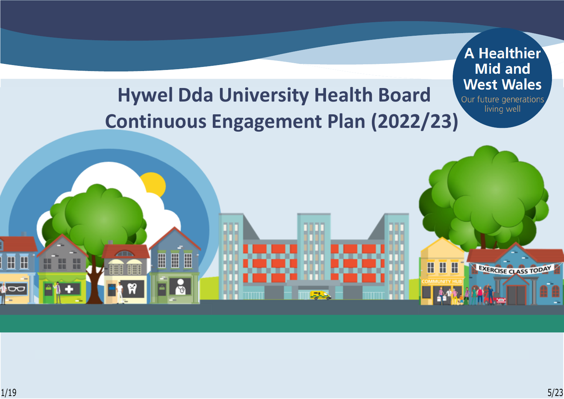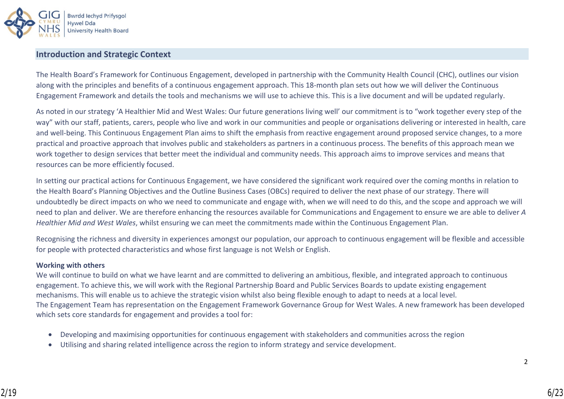

#### **Introduction and Strategic Context**

The Health Board's Framework for Continuous Engagement, developed in partnership with the Community Health Council (CHC), outlines our vision along with the principles and benefits of a continuous engagement approach. This 18-month plan sets out how we will deliver the Continuous Engagement Framework and details the tools and mechanisms we will use to achieve this. This is a live document and will be updated regularly.

As noted in our strategy 'A Healthier Mid and West Wales: Our future generations living well' our commitment is to "work together every step of the way" with our staff, patients, carers, people who live and work in our communities and people or organisations delivering or interested in health, care and well-being. This Continuous Engagement Plan aims to shift the emphasis from reactive engagement around proposed service changes, to a more practical and proactive approach that involves public and stakeholders as partners in a continuous process. The benefits of this approach mean we work together to design services that better meet the individual and community needs. This approach aims to improve services and means that resources can be more efficiently focused.

In setting our practical actions for Continuous Engagement, we have considered the significant work required over the coming months in relation to the Health Board's Planning Objectives and the Outline Business Cases (OBCs) required to deliver the next phase of our strategy. There will undoubtedly be direct impacts on who we need to communicate and engage with, when we will need to do this, and the scope and approach we will need to plan and deliver. We are therefore enhancing the resources available for Communications and Engagement to ensure we are able to deliver *A Healthier Mid and West Wales*, whilst ensuring we can meet the commitments made within the Continuous Engagement Plan.

Recognising the richness and diversity in experiences amongst our population, our approach to continuous engagement will be flexible and accessible for people with protected characteristics and whose first language is not Welsh or English.

#### **Working with others**

We will continue to build on what we have learnt and are committed to delivering an ambitious, flexible, and integrated approach to continuous engagement. To achieve this, we will work with the Regional Partnership Board and Public Services Boards to update existing engagement mechanisms. This will enable us to achieve the strategic vision whilst also being flexible enough to adapt to needs at a local level. The Engagement Team has representation on the Engagement Framework Governance Group for West Wales. A new framework has been developed which sets core standards for engagement and provides a tool for:

- Developing and maximising opportunities for continuous engagement with stakeholders and communities across the region
- Utilising and sharing related intelligence across the region to inform strategy and service development.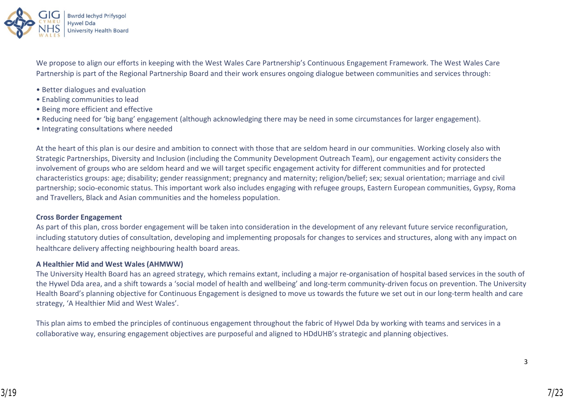

We propose to align our efforts in keeping with the West Wales Care Partnership's Continuous Engagement Framework. The West Wales Care Partnership is part of the Regional Partnership Board and their work ensures ongoing dialogue between communities and services through:

- Better dialogues and evaluation
- Enabling communities to lead
- Being more efficient and effective
- Reducing need for 'big bang' engagement (although acknowledging there may be need in some circumstances for larger engagement).
- Integrating consultations where needed

At the heart of this plan is our desire and ambition to connect with those that are seldom heard in our communities. Working closely also with Strategic Partnerships, Diversity and Inclusion (including the Community Development Outreach Team), our engagement activity considers the involvement of groups who are seldom heard and we will target specific engagement activity for different communities and for protected characteristics groups: age; disability; gender reassignment; pregnancy and maternity; religion/belief; sex; sexual orientation; marriage and civil partnership; socio-economic status. This important work also includes engaging with refugee groups, Eastern European communities, Gypsy, Roma and Travellers, Black and Asian communities and the homeless population.

#### **Cross Border Engagement**

As part of this plan, cross border engagement will be taken into consideration in the development of any relevant future service reconfiguration, including statutory duties of consultation, developing and implementing proposals for changes to services and structures, along with any impact on healthcare delivery affecting neighbouring health board areas.

#### **A Healthier Mid and West Wales (AHMWW)**

The University Health Board has an agreed strategy, which remains extant, including a major re-organisation of hospital based services in the south of the Hywel Dda area, and a shift towards a 'social model of health and wellbeing' and long-term community-driven focus on prevention. The University Health Board's planning objective for Continuous Engagement is designed to move us towards the future we set out in our long-term health and care strategy, 'A Healthier Mid and West Wales'.

This plan aims to embed the principles of continuous engagement throughout the fabric of Hywel Dda by working with teams and services in a collaborative way, ensuring engagement objectives are purposeful and aligned to HDdUHB's strategic and planning objectives.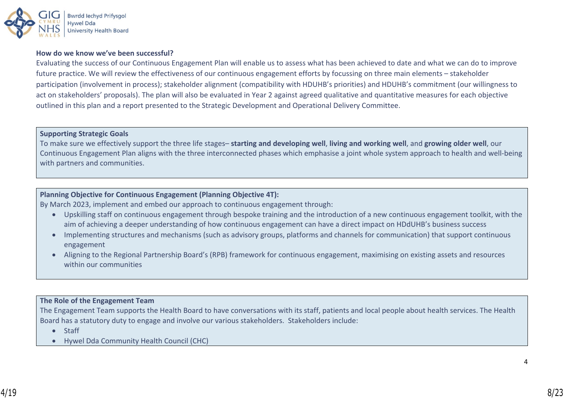

#### **How do we know we've been successful?**

Evaluating the success of our Continuous Engagement Plan will enable us to assess what has been achieved to date and what we can do to improve future practice. We will review the effectiveness of our continuous engagement efforts by focussing on three main elements – stakeholder participation (involvement in process); stakeholder alignment (compatibility with HDUHB's priorities) and HDUHB's commitment (our willingness to act on stakeholders' proposals). The plan will also be evaluated in Year 2 against agreed qualitative and quantitative measures for each objective outlined in this plan and a report presented to the Strategic Development and Operational Delivery Committee.

#### **Supporting Strategic Goals**

To make sure we effectively support the three life stages– **starting and developing well**, **living and working well**, and **growing older well**, our Continuous Engagement Plan aligns with the three interconnected phases which emphasise a joint whole system approach to health and well-being with partners and communities.

#### **Planning Objective for Continuous Engagement (Planning Objective 4T):**

By March 2023, implement and embed our approach to continuous engagement through:

- Upskilling staff on continuous engagement through bespoke training and the introduction of a new continuous engagement toolkit, with the aim of achieving a deeper understanding of how continuous engagement can have a direct impact on HDdUHB's business success
- Implementing structures and mechanisms (such as advisory groups, platforms and channels for communication) that support continuous engagement
- Aligning to the Regional Partnership Board's (RPB) framework for continuous engagement, maximising on existing assets and resources within our communities

#### **The Role of the Engagement Team**

The Engagement Team supports the Health Board to have conversations with its staff, patients and local people about health services. The Health Board has a statutory duty to engage and involve our various stakeholders. Stakeholders include:

- Staff
- Hywel Dda Community Health Council (CHC)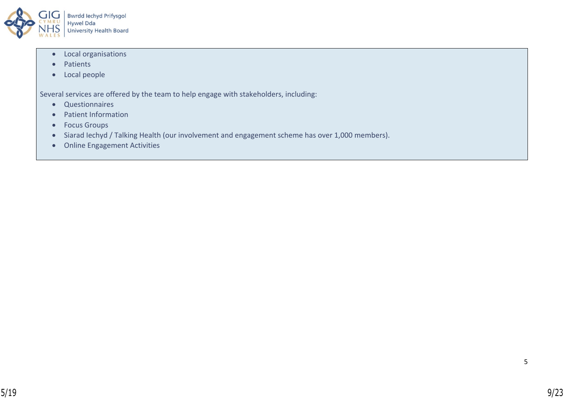

- Local organisations
- Patients
- Local people

Several services are offered by the team to help engage with stakeholders, including:

- Questionnaires
- Patient Information
- Focus Groups
- Siarad Iechyd / Talking Health (our involvement and engagement scheme has over 1,000 members).
- Online Engagement Activities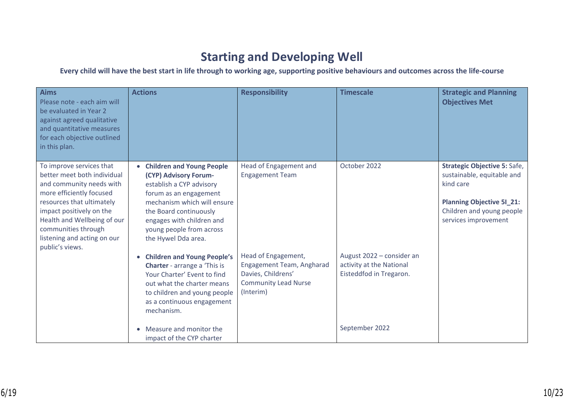# **Starting and Developing Well**

## **Every child will have the best start in life through to working age, supporting positive behaviours and outcomes across the life-course**

| <b>Aims</b><br>Please note - each aim will<br>be evaluated in Year 2<br>against agreed qualitative<br>and quantitative measures<br>for each objective outlined<br>in this plan.                                                                                                  | <b>Actions</b>                                                                                                                                                                                                                                                             | <b>Responsibility</b>                                                                                              | <b>Timescale</b>                                                                                   | <b>Strategic and Planning</b><br><b>Objectives Met</b>                                                                                                                  |
|----------------------------------------------------------------------------------------------------------------------------------------------------------------------------------------------------------------------------------------------------------------------------------|----------------------------------------------------------------------------------------------------------------------------------------------------------------------------------------------------------------------------------------------------------------------------|--------------------------------------------------------------------------------------------------------------------|----------------------------------------------------------------------------------------------------|-------------------------------------------------------------------------------------------------------------------------------------------------------------------------|
| To improve services that<br>better meet both individual<br>and community needs with<br>more efficiently focused<br>resources that ultimately<br>impact positively on the<br>Health and Wellbeing of our<br>communities through<br>listening and acting on our<br>public's views. | <b>Children and Young People</b><br>(CYP) Advisory Forum-<br>establish a CYP advisory<br>forum as an engagement<br>mechanism which will ensure<br>the Board continuously<br>engages with children and<br>young people from across<br>the Hywel Dda area.                   | Head of Engagement and<br><b>Engagement Team</b>                                                                   | October 2022                                                                                       | <b>Strategic Objective 5: Safe,</b><br>sustainable, equitable and<br>kind care<br><b>Planning Objective 51_21:</b><br>Children and young people<br>services improvement |
|                                                                                                                                                                                                                                                                                  | <b>Children and Young People's</b><br><b>Charter</b> - arrange a 'This is<br>Your Charter' Event to find<br>out what the charter means<br>to children and young people<br>as a continuous engagement<br>mechanism.<br>Measure and monitor the<br>impact of the CYP charter | Head of Engagement,<br>Engagement Team, Angharad<br>Davies, Childrens'<br><b>Community Lead Nurse</b><br>(Interim) | August 2022 - consider an<br>activity at the National<br>Eisteddfod in Tregaron.<br>September 2022 |                                                                                                                                                                         |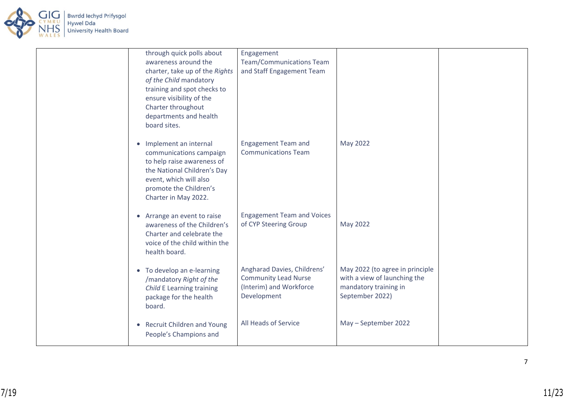

| through quick polls about<br>awareness around the<br>charter, take up of the Rights<br>of the Child mandatory<br>training and spot checks to<br>ensure visibility of the<br>Charter throughout<br>departments and health<br>board sites. | Engagement<br><b>Team/Communications Team</b><br>and Staff Engagement Team                           |                                                                                                             |  |
|------------------------------------------------------------------------------------------------------------------------------------------------------------------------------------------------------------------------------------------|------------------------------------------------------------------------------------------------------|-------------------------------------------------------------------------------------------------------------|--|
| Implement an internal<br>$\bullet$<br>communications campaign<br>to help raise awareness of<br>the National Children's Day<br>event, which will also<br>promote the Children's<br>Charter in May 2022.                                   | <b>Engagement Team and</b><br><b>Communications Team</b>                                             | May 2022                                                                                                    |  |
| • Arrange an event to raise<br>awareness of the Children's<br>Charter and celebrate the<br>voice of the child within the<br>health board.                                                                                                | <b>Engagement Team and Voices</b><br>of CYP Steering Group                                           | May 2022                                                                                                    |  |
| • To develop an e-learning<br>/mandatory Right of the<br>Child E Learning training<br>package for the health<br>board.                                                                                                                   | Angharad Davies, Childrens'<br><b>Community Lead Nurse</b><br>(Interim) and Workforce<br>Development | May 2022 (to agree in principle<br>with a view of launching the<br>mandatory training in<br>September 2022) |  |
| <b>Recruit Children and Young</b><br>$\bullet$<br>People's Champions and                                                                                                                                                                 | All Heads of Service                                                                                 | May - September 2022                                                                                        |  |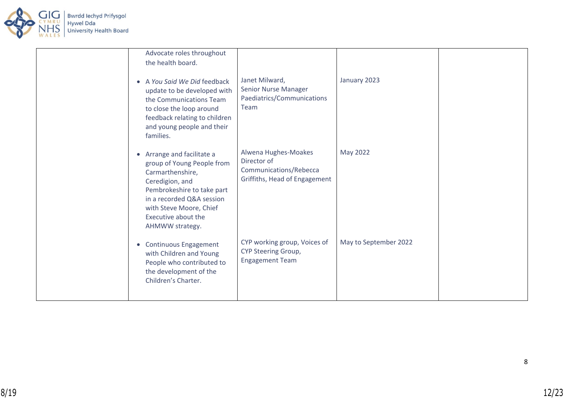

| Advocate roles throughout<br>the health board.                                                                                                                                                                                |                                                                                                |                       |  |
|-------------------------------------------------------------------------------------------------------------------------------------------------------------------------------------------------------------------------------|------------------------------------------------------------------------------------------------|-----------------------|--|
| • A You Said We Did feedback<br>update to be developed with<br>the Communications Team<br>to close the loop around<br>feedback relating to children<br>and young people and their<br>families.                                | Janet Milward,<br>Senior Nurse Manager<br>Paediatrics/Communications<br>Team                   | January 2023          |  |
| Arrange and facilitate a<br>group of Young People from<br>Carmarthenshire,<br>Ceredigion, and<br>Pembrokeshire to take part<br>in a recorded Q&A session<br>with Steve Moore, Chief<br>Executive about the<br>AHMWW strategy. | Alwena Hughes-Moakes<br>Director of<br>Communications/Rebecca<br>Griffiths, Head of Engagement | May 2022              |  |
| • Continuous Engagement<br>with Children and Young<br>People who contributed to<br>the development of the<br>Children's Charter.                                                                                              | CYP working group, Voices of<br><b>CYP Steering Group,</b><br><b>Engagement Team</b>           | May to September 2022 |  |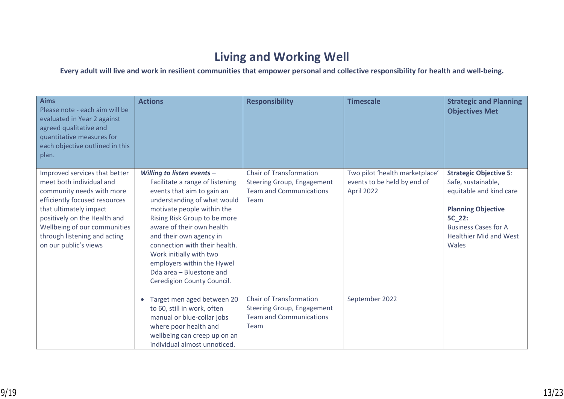# **Living and Working Well**

**Every adult will live and work in resilient communities that empower personal and collective responsibility for health and well-being.**

| <b>Aims</b><br>Please note - each aim will be<br>evaluated in Year 2 against<br>agreed qualitative and<br>quantitative measures for<br>each objective outlined in this<br>plan.                                                                                            | <b>Actions</b>                                                                                                                                                                                                                                                                                                                                                                                       | <b>Responsibility</b>                                                                                         | <b>Timescale</b>                                                            | <b>Strategic and Planning</b><br><b>Objectives Met</b>                                                                                                                                         |
|----------------------------------------------------------------------------------------------------------------------------------------------------------------------------------------------------------------------------------------------------------------------------|------------------------------------------------------------------------------------------------------------------------------------------------------------------------------------------------------------------------------------------------------------------------------------------------------------------------------------------------------------------------------------------------------|---------------------------------------------------------------------------------------------------------------|-----------------------------------------------------------------------------|------------------------------------------------------------------------------------------------------------------------------------------------------------------------------------------------|
| Improved services that better<br>meet both individual and<br>community needs with more<br>efficiently focused resources<br>that ultimately impact<br>positively on the Health and<br>Wellbeing of our communities<br>through listening and acting<br>on our public's views | Willing to listen events -<br>Facilitate a range of listening<br>events that aim to gain an<br>understanding of what would<br>motivate people within the<br>Rising Risk Group to be more<br>aware of their own health<br>and their own agency in<br>connection with their health.<br>Work initially with two<br>employers within the Hywel<br>Dda area - Bluestone and<br>Ceredigion County Council. | <b>Chair of Transformation</b><br><b>Steering Group, Engagement</b><br><b>Team and Communications</b><br>Team | Two pilot 'health marketplace'<br>events to be held by end of<br>April 2022 | <b>Strategic Objective 5:</b><br>Safe, sustainable,<br>equitable and kind care<br><b>Planning Objective</b><br>5C 22:<br><b>Business Cases for A</b><br><b>Healthier Mid and West</b><br>Wales |
|                                                                                                                                                                                                                                                                            | Target men aged between 20<br>$\bullet$<br>to 60, still in work, often<br>manual or blue-collar jobs<br>where poor health and<br>wellbeing can creep up on an<br>individual almost unnoticed.                                                                                                                                                                                                        | <b>Chair of Transformation</b><br><b>Steering Group, Engagement</b><br><b>Team and Communications</b><br>Team | September 2022                                                              |                                                                                                                                                                                                |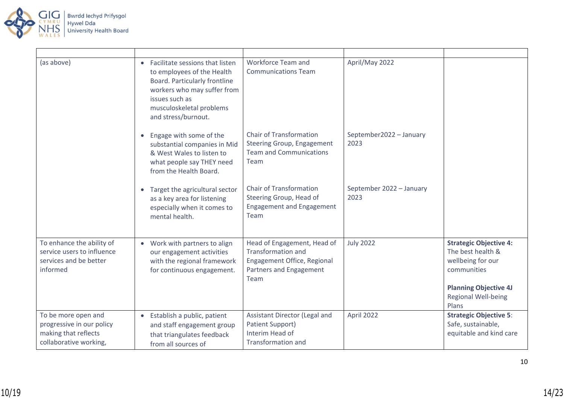

| (as above)                                                                                         | • Facilitate sessions that listen<br>to employees of the Health<br>Board. Particularly frontline<br>workers who may suffer from<br>issues such as<br>musculoskeletal problems<br>and stress/burnout. | Workforce Team and<br><b>Communications Team</b>                                                                           | April/May 2022                   |                                                                                                                                                               |
|----------------------------------------------------------------------------------------------------|------------------------------------------------------------------------------------------------------------------------------------------------------------------------------------------------------|----------------------------------------------------------------------------------------------------------------------------|----------------------------------|---------------------------------------------------------------------------------------------------------------------------------------------------------------|
|                                                                                                    | Engage with some of the<br>substantial companies in Mid<br>& West Wales to listen to<br>what people say THEY need<br>from the Health Board.                                                          | <b>Chair of Transformation</b><br><b>Steering Group, Engagement</b><br><b>Team and Communications</b><br>Team              | September2022 - January<br>2023  |                                                                                                                                                               |
|                                                                                                    | Target the agricultural sector<br>as a key area for listening<br>especially when it comes to<br>mental health.                                                                                       | <b>Chair of Transformation</b><br>Steering Group, Head of<br><b>Engagement and Engagement</b><br>Team                      | September 2022 - January<br>2023 |                                                                                                                                                               |
| To enhance the ability of<br>service users to influence<br>services and be better<br>informed      | • Work with partners to align<br>our engagement activities<br>with the regional framework<br>for continuous engagement.                                                                              | Head of Engagement, Head of<br><b>Transformation and</b><br>Engagement Office, Regional<br>Partners and Engagement<br>Team | <b>July 2022</b>                 | <b>Strategic Objective 4:</b><br>The best health &<br>wellbeing for our<br>communities<br><b>Planning Objective 4J</b><br><b>Regional Well-being</b><br>Plans |
| To be more open and<br>progressive in our policy<br>making that reflects<br>collaborative working, | • Establish a public, patient<br>and staff engagement group<br>that triangulates feedback<br>from all sources of                                                                                     | Assistant Director (Legal and<br><b>Patient Support)</b><br>Interim Head of<br><b>Transformation and</b>                   | April 2022                       | <b>Strategic Objective 5:</b><br>Safe, sustainable,<br>equitable and kind care                                                                                |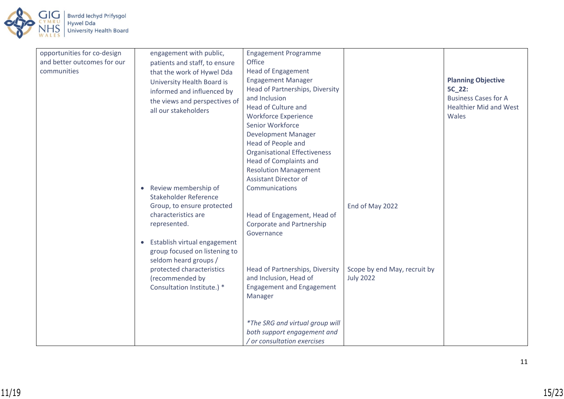

| opportunities for co-design | engagement with public,                   | <b>Engagement Programme</b>         |                              |                               |
|-----------------------------|-------------------------------------------|-------------------------------------|------------------------------|-------------------------------|
| and better outcomes for our | patients and staff, to ensure             | Office                              |                              |                               |
| communities                 | that the work of Hywel Dda                | <b>Head of Engagement</b>           |                              |                               |
|                             | University Health Board is                | <b>Engagement Manager</b>           |                              | <b>Planning Objective</b>     |
|                             | informed and influenced by                | Head of Partnerships, Diversity     |                              | 5C_22:                        |
|                             | the views and perspectives of             | and Inclusion                       |                              | <b>Business Cases for A</b>   |
|                             | all our stakeholders                      | Head of Culture and                 |                              | <b>Healthier Mid and West</b> |
|                             |                                           | <b>Workforce Experience</b>         |                              | Wales                         |
|                             |                                           | Senior Workforce                    |                              |                               |
|                             |                                           | <b>Development Manager</b>          |                              |                               |
|                             |                                           | Head of People and                  |                              |                               |
|                             |                                           | <b>Organisational Effectiveness</b> |                              |                               |
|                             |                                           | <b>Head of Complaints and</b>       |                              |                               |
|                             |                                           | <b>Resolution Management</b>        |                              |                               |
|                             |                                           | <b>Assistant Director of</b>        |                              |                               |
|                             | Review membership of<br>$\bullet$         | Communications                      |                              |                               |
|                             | Stakeholder Reference                     |                                     |                              |                               |
|                             | Group, to ensure protected                |                                     | End of May 2022              |                               |
|                             | characteristics are                       | Head of Engagement, Head of         |                              |                               |
|                             | represented.                              | Corporate and Partnership           |                              |                               |
|                             |                                           | Governance                          |                              |                               |
|                             | Establish virtual engagement<br>$\bullet$ |                                     |                              |                               |
|                             | group focused on listening to             |                                     |                              |                               |
|                             | seldom heard groups /                     |                                     |                              |                               |
|                             | protected characteristics                 | Head of Partnerships, Diversity     | Scope by end May, recruit by |                               |
|                             | (recommended by                           | and Inclusion, Head of              | <b>July 2022</b>             |                               |
|                             | Consultation Institute.) *                | <b>Engagement and Engagement</b>    |                              |                               |
|                             |                                           | Manager                             |                              |                               |
|                             |                                           |                                     |                              |                               |
|                             |                                           |                                     |                              |                               |
|                             |                                           | *The SRG and virtual group will     |                              |                               |
|                             |                                           | both support engagement and         |                              |                               |
|                             |                                           | / or consultation exercises         |                              |                               |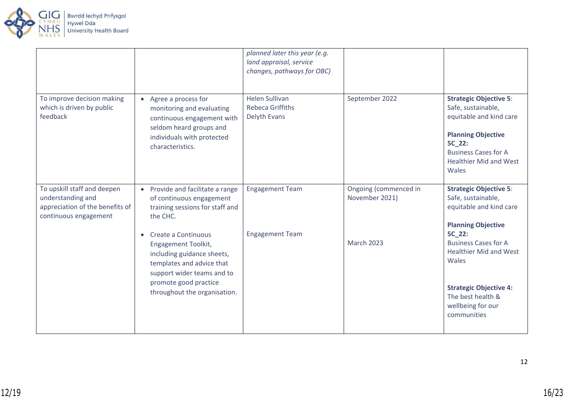

|                                                                                                              |                                                                                                                                                               | planned later this year (e.g.<br>land appraisal, service<br>changes, pathways for OBC) |                                         |                                                                                                                                                                                                |
|--------------------------------------------------------------------------------------------------------------|---------------------------------------------------------------------------------------------------------------------------------------------------------------|----------------------------------------------------------------------------------------|-----------------------------------------|------------------------------------------------------------------------------------------------------------------------------------------------------------------------------------------------|
| To improve decision making<br>which is driven by public<br>feedback                                          | • Agree a process for<br>monitoring and evaluating<br>continuous engagement with<br>seldom heard groups and<br>individuals with protected<br>characteristics. | <b>Helen Sullivan</b><br><b>Rebeca Griffiths</b><br>Delyth Evans                       | September 2022                          | <b>Strategic Objective 5:</b><br>Safe, sustainable,<br>equitable and kind care<br><b>Planning Objective</b><br>5C_22:<br><b>Business Cases for A</b><br><b>Healthier Mid and West</b><br>Wales |
| To upskill staff and deepen<br>understanding and<br>appreciation of the benefits of<br>continuous engagement | Provide and facilitate a range<br>$\bullet$<br>of continuous engagement<br>training sessions for staff and<br>the CHC.                                        | <b>Engagement Team</b>                                                                 | Ongoing (commenced in<br>November 2021) | <b>Strategic Objective 5:</b><br>Safe, sustainable,<br>equitable and kind care<br><b>Planning Objective</b>                                                                                    |
|                                                                                                              | Create a Continuous<br>$\bullet$<br><b>Engagement Toolkit,</b><br>including guidance sheets,<br>templates and advice that<br>support wider teams and to       | <b>Engagement Team</b>                                                                 | <b>March 2023</b>                       | 5C 22:<br><b>Business Cases for A</b><br><b>Healthier Mid and West</b><br>Wales                                                                                                                |
|                                                                                                              | promote good practice<br>throughout the organisation.                                                                                                         |                                                                                        |                                         | <b>Strategic Objective 4:</b><br>The best health &<br>wellbeing for our<br>communities                                                                                                         |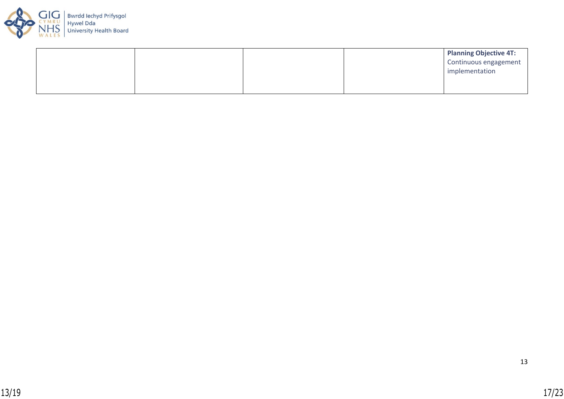

|  |  | <b>Planning Objective 4T:</b> |
|--|--|-------------------------------|
|  |  | Continuous engagement         |
|  |  | implementation                |
|  |  |                               |
|  |  |                               |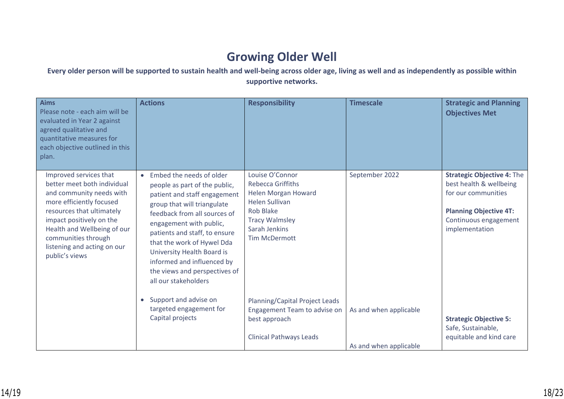# **Growing Older Well**

## **Every older person will be supported to sustain health and well-being across older age, living as well and as independently as possible within supportive networks.**

| <b>Aims</b><br>Please note - each aim will be<br>evaluated in Year 2 against<br>agreed qualitative and<br>quantitative measures for<br>each objective outlined in this<br>plan.                                                                                               | <b>Actions</b>                                                                                                                                                                                                                                                                                                                                                          | <b>Responsibility</b>                                                                                                                                                      | <b>Timescale</b>                                 | <b>Strategic and Planning</b><br><b>Objectives Met</b>                                                                                                          |
|-------------------------------------------------------------------------------------------------------------------------------------------------------------------------------------------------------------------------------------------------------------------------------|-------------------------------------------------------------------------------------------------------------------------------------------------------------------------------------------------------------------------------------------------------------------------------------------------------------------------------------------------------------------------|----------------------------------------------------------------------------------------------------------------------------------------------------------------------------|--------------------------------------------------|-----------------------------------------------------------------------------------------------------------------------------------------------------------------|
| Improved services that<br>better meet both individual<br>and community needs with<br>more efficiently focused<br>resources that ultimately<br>impact positively on the<br>Health and Wellbeing of our<br>communities through<br>listening and acting on our<br>public's views | Embed the needs of older<br>people as part of the public,<br>patient and staff engagement<br>group that will triangulate<br>feedback from all sources of<br>engagement with public,<br>patients and staff, to ensure<br>that the work of Hywel Dda<br>University Health Board is<br>informed and influenced by<br>the views and perspectives of<br>all our stakeholders | Louise O'Connor<br><b>Rebecca Griffiths</b><br>Helen Morgan Howard<br><b>Helen Sullivan</b><br>Rob Blake<br><b>Tracy Walmsley</b><br>Sarah Jenkins<br><b>Tim McDermott</b> | September 2022                                   | <b>Strategic Objective 4: The</b><br>best health & wellbeing<br>for our communities<br><b>Planning Objective 4T:</b><br>Continuous engagement<br>implementation |
|                                                                                                                                                                                                                                                                               | Support and advise on<br>$\bullet$<br>targeted engagement for<br>Capital projects                                                                                                                                                                                                                                                                                       | Planning/Capital Project Leads<br>Engagement Team to advise on<br>best approach<br><b>Clinical Pathways Leads</b>                                                          | As and when applicable<br>As and when applicable | <b>Strategic Objective 5:</b><br>Safe, Sustainable,<br>equitable and kind care                                                                                  |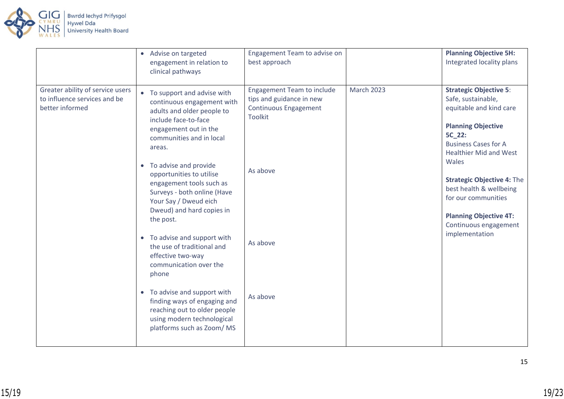

|                                                                                     | Advise on targeted<br>$\bullet$<br>engagement in relation to<br>clinical pathways                                                                                                                                                                                                                                                                                                                                                                                                                                                                                                                                                                                                                 | Engagement Team to advise on<br>best approach                                                                                                       |                   | <b>Planning Objective 5H:</b><br>Integrated locality plans                                                                                                                                                                                                                                                                                                        |
|-------------------------------------------------------------------------------------|---------------------------------------------------------------------------------------------------------------------------------------------------------------------------------------------------------------------------------------------------------------------------------------------------------------------------------------------------------------------------------------------------------------------------------------------------------------------------------------------------------------------------------------------------------------------------------------------------------------------------------------------------------------------------------------------------|-----------------------------------------------------------------------------------------------------------------------------------------------------|-------------------|-------------------------------------------------------------------------------------------------------------------------------------------------------------------------------------------------------------------------------------------------------------------------------------------------------------------------------------------------------------------|
| Greater ability of service users<br>to influence services and be<br>better informed | To support and advise with<br>$\bullet$<br>continuous engagement with<br>adults and older people to<br>include face-to-face<br>engagement out in the<br>communities and in local<br>areas.<br>To advise and provide<br>$\bullet$<br>opportunities to utilise<br>engagement tools such as<br>Surveys - both online (Have<br>Your Say / Dweud eich<br>Dweud) and hard copies in<br>the post.<br>To advise and support with<br>$\bullet$<br>the use of traditional and<br>effective two-way<br>communication over the<br>phone<br>To advise and support with<br>$\bullet$<br>finding ways of engaging and<br>reaching out to older people<br>using modern technological<br>platforms such as Zoom/MS | <b>Engagement Team to include</b><br>tips and guidance in new<br><b>Continuous Engagement</b><br><b>Toolkit</b><br>As above<br>As above<br>As above | <b>March 2023</b> | <b>Strategic Objective 5:</b><br>Safe, sustainable,<br>equitable and kind care<br><b>Planning Objective</b><br>5C_22:<br><b>Business Cases for A</b><br><b>Healthier Mid and West</b><br>Wales<br><b>Strategic Objective 4: The</b><br>best health & wellbeing<br>for our communities<br><b>Planning Objective 4T:</b><br>Continuous engagement<br>implementation |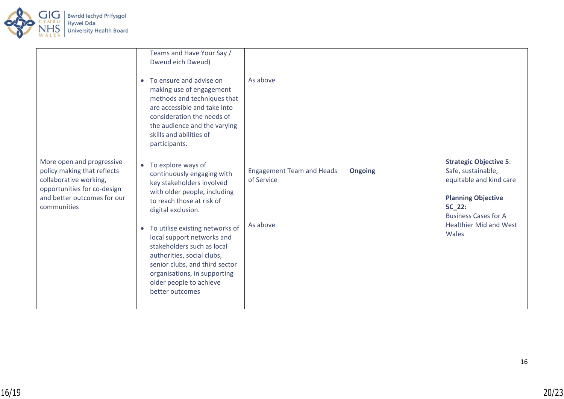

|                                                                                                                                                                 | Teams and Have Your Say /<br>Dweud eich Dweud)<br>To ensure and advise on<br>$\bullet$<br>making use of engagement<br>methods and techniques that<br>are accessible and take into<br>consideration the needs of<br>the audience and the varying<br>skills and abilities of<br>participants.                                                                                                                                  | As above                                                   |                |                                                                                                                                                                                                       |
|-----------------------------------------------------------------------------------------------------------------------------------------------------------------|------------------------------------------------------------------------------------------------------------------------------------------------------------------------------------------------------------------------------------------------------------------------------------------------------------------------------------------------------------------------------------------------------------------------------|------------------------------------------------------------|----------------|-------------------------------------------------------------------------------------------------------------------------------------------------------------------------------------------------------|
| More open and progressive<br>policy making that reflects<br>collaborative working,<br>opportunities for co-design<br>and better outcomes for our<br>communities | • To explore ways of<br>continuously engaging with<br>key stakeholders involved<br>with older people, including<br>to reach those at risk of<br>digital exclusion.<br>To utilise existing networks of<br>$\bullet$<br>local support networks and<br>stakeholders such as local<br>authorities, social clubs,<br>senior clubs, and third sector<br>organisations, in supporting<br>older people to achieve<br>better outcomes | <b>Engagement Team and Heads</b><br>of Service<br>As above | <b>Ongoing</b> | <b>Strategic Objective 5:</b><br>Safe, sustainable,<br>equitable and kind care<br><b>Planning Objective</b><br><b>5C 22:</b><br><b>Business Cases for A</b><br><b>Healthier Mid and West</b><br>Wales |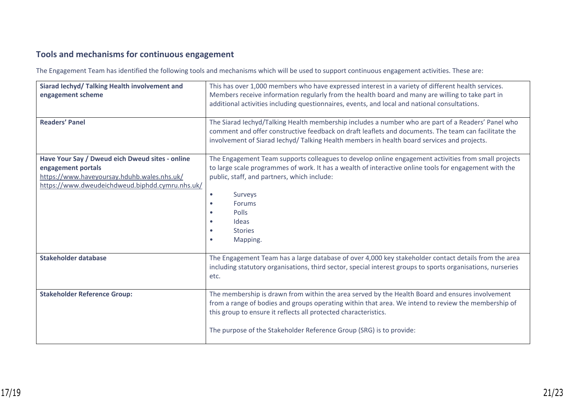## **Tools and mechanisms for continuous engagement**

The Engagement Team has identified the following tools and mechanisms which will be used to support continuous engagement activities. These are:

| Siarad Iechyd/ Talking Health involvement and<br>engagement scheme                                                                                                      | This has over 1,000 members who have expressed interest in a variety of different health services.<br>Members receive information regularly from the health board and many are willing to take part in<br>additional activities including questionnaires, events, and local and national consultations.                                                     |
|-------------------------------------------------------------------------------------------------------------------------------------------------------------------------|-------------------------------------------------------------------------------------------------------------------------------------------------------------------------------------------------------------------------------------------------------------------------------------------------------------------------------------------------------------|
| <b>Readers' Panel</b>                                                                                                                                                   | The Siarad Iechyd/Talking Health membership includes a number who are part of a Readers' Panel who<br>comment and offer constructive feedback on draft leaflets and documents. The team can facilitate the<br>involvement of Siarad lechyd/Talking Health members in health board services and projects.                                                    |
| Have Your Say / Dweud eich Dweud sites - online<br>engagement portals<br>https://www.haveyoursay.hduhb.wales.nhs.uk/<br>https://www.dweudeichdweud.biphdd.cymru.nhs.uk/ | The Engagement Team supports colleagues to develop online engagement activities from small projects<br>to large scale programmes of work. It has a wealth of interactive online tools for engagement with the<br>public, staff, and partners, which include:<br>Surveys<br>Forums<br>$\bullet$<br>Polls<br>Ideas<br><b>Stories</b><br>Mapping.<br>$\bullet$ |
| <b>Stakeholder database</b>                                                                                                                                             | The Engagement Team has a large database of over 4,000 key stakeholder contact details from the area<br>including statutory organisations, third sector, special interest groups to sports organisations, nurseries<br>etc.                                                                                                                                 |
| <b>Stakeholder Reference Group:</b>                                                                                                                                     | The membership is drawn from within the area served by the Health Board and ensures involvement<br>from a range of bodies and groups operating within that area. We intend to review the membership of<br>this group to ensure it reflects all protected characteristics.<br>The purpose of the Stakeholder Reference Group (SRG) is to provide:            |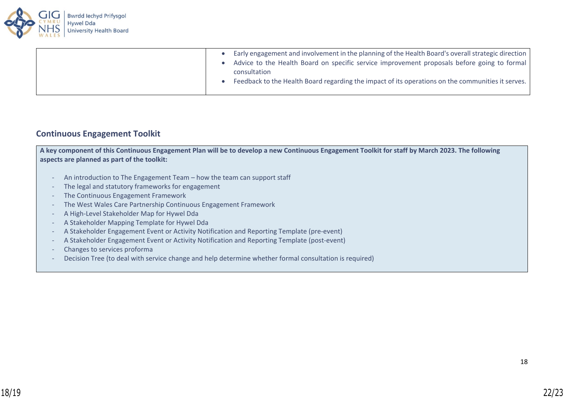

| Early engagement and involvement in the planning of the Health Board's overall strategic direction<br>Advice to the Health Board on specific service improvement proposals before going to formal |
|---------------------------------------------------------------------------------------------------------------------------------------------------------------------------------------------------|
| consultation                                                                                                                                                                                      |
| Feedback to the Health Board regarding the impact of its operations on the communities it serves.                                                                                                 |

### **Continuous Engagement Toolkit**

**A key component of this Continuous Engagement Plan will be to develop a new Continuous Engagement Toolkit for staff by March 2023. The following aspects are planned as part of the toolkit:**

- An introduction to The Engagement Team how the team can support staff
- The legal and statutory frameworks for engagement
- The Continuous Engagement Framework
- The West Wales Care Partnership Continuous Engagement Framework
- A High-Level Stakeholder Map for Hywel Dda
- A Stakeholder Mapping Template for Hywel Dda
- A Stakeholder Engagement Event or Activity Notification and Reporting Template (pre-event)
- A Stakeholder Engagement Event or Activity Notification and Reporting Template (post-event)
- Changes to services proforma
- Decision Tree (to deal with service change and help determine whether formal consultation is required)